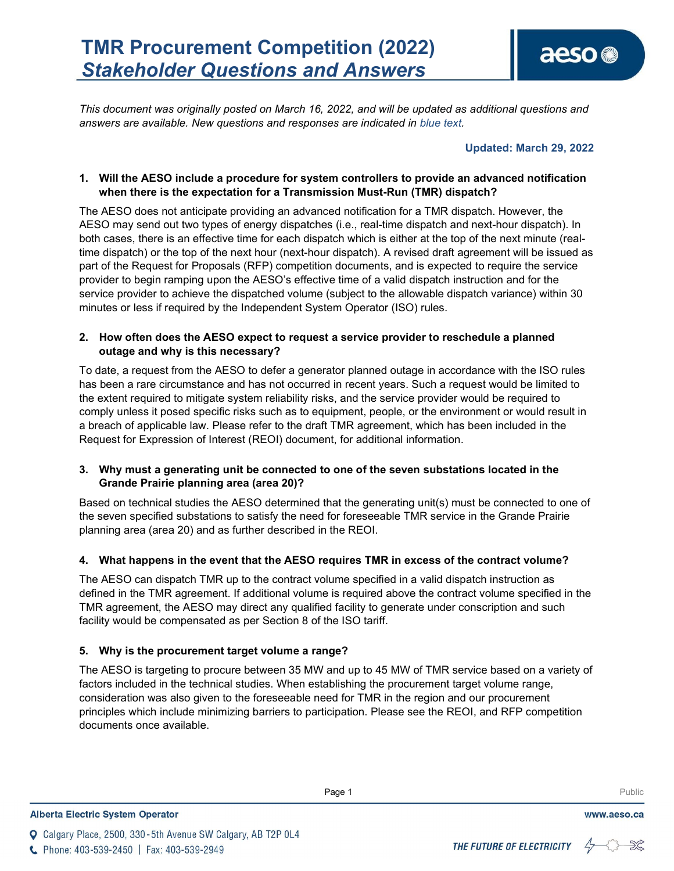This document was originally posted on March 16, 2022, and will be updated as additional questions and answers are available. New questions and responses are indicated in blue text.

## Updated: March 29, 2022

## 1. Will the AESO include a procedure for system controllers to provide an advanced notification when there is the expectation for a Transmission Must-Run (TMR) dispatch?

The AESO does not anticipate providing an advanced notification for a TMR dispatch. However, the AESO may send out two types of energy dispatches (i.e., real-time dispatch and next-hour dispatch). In both cases, there is an effective time for each dispatch which is either at the top of the next minute (realtime dispatch) or the top of the next hour (next-hour dispatch). A revised draft agreement will be issued as part of the Request for Proposals (RFP) competition documents, and is expected to require the service provider to begin ramping upon the AESO's effective time of a valid dispatch instruction and for the service provider to achieve the dispatched volume (subject to the allowable dispatch variance) within 30 minutes or less if required by the Independent System Operator (ISO) rules.

## 2. How often does the AESO expect to request a service provider to reschedule a planned outage and why is this necessary?

To date, a request from the AESO to defer a generator planned outage in accordance with the ISO rules has been a rare circumstance and has not occurred in recent years. Such a request would be limited to the extent required to mitigate system reliability risks, and the service provider would be required to comply unless it posed specific risks such as to equipment, people, or the environment or would result in a breach of applicable law. Please refer to the draft TMR agreement, which has been included in the Request for Expression of Interest (REOI) document, for additional information.

# 3. Why must a generating unit be connected to one of the seven substations located in the Grande Prairie planning area (area 20)?

Based on technical studies the AESO determined that the generating unit(s) must be connected to one of the seven specified substations to satisfy the need for foreseeable TMR service in the Grande Prairie planning area (area 20) and as further described in the REOI.

# 4. What happens in the event that the AESO requires TMR in excess of the contract volume?

The AESO can dispatch TMR up to the contract volume specified in a valid dispatch instruction as defined in the TMR agreement. If additional volume is required above the contract volume specified in the TMR agreement, the AESO may direct any qualified facility to generate under conscription and such facility would be compensated as per Section 8 of the ISO tariff.

# 5. Why is the procurement target volume a range?

The AESO is targeting to procure between 35 MW and up to 45 MW of TMR service based on a variety of factors included in the technical studies. When establishing the procurement target volume range, consideration was also given to the foreseeable need for TMR in the region and our procurement principles which include minimizing barriers to participation. Please see the REOI, and RFP competition documents once available.

**Enter Football Page 1** Public Public Public Public Public Public Public Public Public Public Public Public Public Public Public Public Public Public Public Public Public Public Public Public Public Public Public Public Pu

Q Calgary Place, 2500, 330-5th Avenue SW Calgary, AB T2P 0L4 C Phone: 403-539-2450 | Fax: 403-539-2949

THE FUTURE OF ELECTRICITY



www.aeso.ca